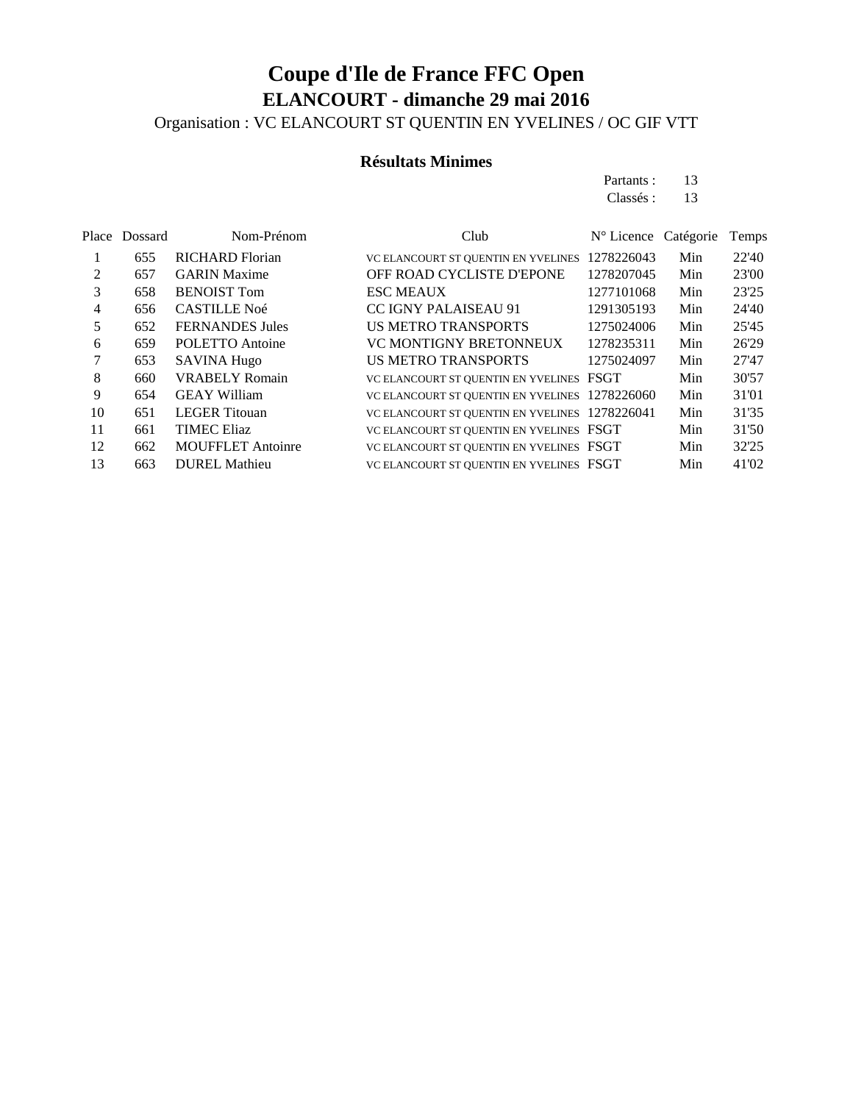Organisation : VC ELANCOURT ST QUENTIN EN YVELINES / OC GIF VTT

#### **Résultats Minimes**

Partants : 13 Classés : 13

|    | Place Dossard | Nom-Prénom               | Club                                           | $N^{\circ}$ Licence Catégorie |     | Temps |
|----|---------------|--------------------------|------------------------------------------------|-------------------------------|-----|-------|
|    | 655           | <b>RICHARD Florian</b>   | VC ELANCOURT ST QUENTIN EN YVELINES            | 1278226043                    | Min | 22'40 |
| 2  | 657           | <b>GARIN Maxime</b>      | OFF ROAD CYCLISTE D'EPONE                      | 1278207045                    | Min | 23'00 |
| 3  | 658           | <b>BENOIST Tom</b>       | <b>ESC MEAUX</b>                               | 1277101068                    | Min | 23'25 |
| 4  | 656           | <b>CASTILLE Noé</b>      | <b>CC IGNY PALAISEAU 91</b>                    | 1291305193                    | Min | 24'40 |
| 5  | 652           | <b>FERNANDES Jules</b>   | <b>US METRO TRANSPORTS</b>                     | 1275024006                    | Min | 25'45 |
| 6  | 659           | POLETTO Antoine          | VC MONTIGNY BRETONNEUX                         | 1278235311                    | Min | 26'29 |
| 7  | 653           | <b>SAVINA Hugo</b>       | <b>US METRO TRANSPORTS</b>                     | 1275024097                    | Min | 27'47 |
| 8  | 660           | <b>VRABELY Romain</b>    | VC ELANCOURT ST QUENTIN EN YVELINES FSGT       |                               | Min | 30'57 |
| 9  | 654           | <b>GEAY William</b>      | VC ELANCOURT ST QUENTIN EN YVELINES 1278226060 |                               | Min | 31'01 |
| 10 | 651           | <b>LEGER</b> Titouan     | VC ELANCOURT ST QUENTIN EN YVELINES 1278226041 |                               | Min | 31'35 |
| 11 | 661           | <b>TIMEC Eliaz</b>       | VC ELANCOURT ST QUENTIN EN YVELINES FSGT       |                               | Min | 31'50 |
| 12 | 662           | <b>MOUFFLET</b> Antoinre | VC ELANCOURT ST QUENTIN EN YVELINES FSGT       |                               | Min | 32'25 |
| 13 | 663           | <b>DUREL Mathieu</b>     | VC ELANCOURT ST OUENTIN EN YVELINES FSGT       |                               | Min | 41'02 |
|    |               |                          |                                                |                               |     |       |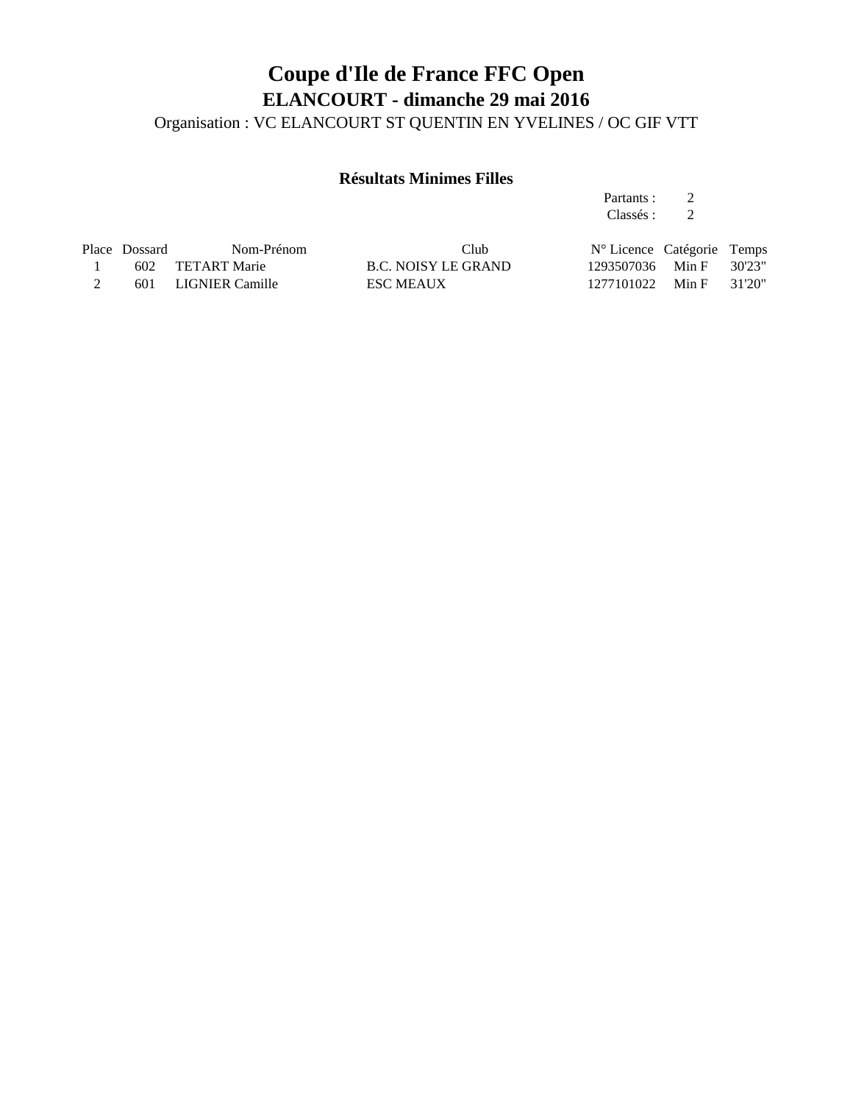Organisation : VC ELANCOURT ST QUENTIN EN YVELINES / OC GIF VTT

#### **Résultats Minimes Filles**

Partants : 2 Classés : 2

| Place Dossard | Nom-Prénom          | Club                | $N^{\circ}$ Licence Catégorie Temps |  |
|---------------|---------------------|---------------------|-------------------------------------|--|
|               | 602 TETART Marie    | B.C. NOISY LE GRAND | 1293507036 Min F 30'23"             |  |
|               | 601 LIGNIER Camille | <b>ESC MEAUX</b>    | 1277101022 Min F 31'20"             |  |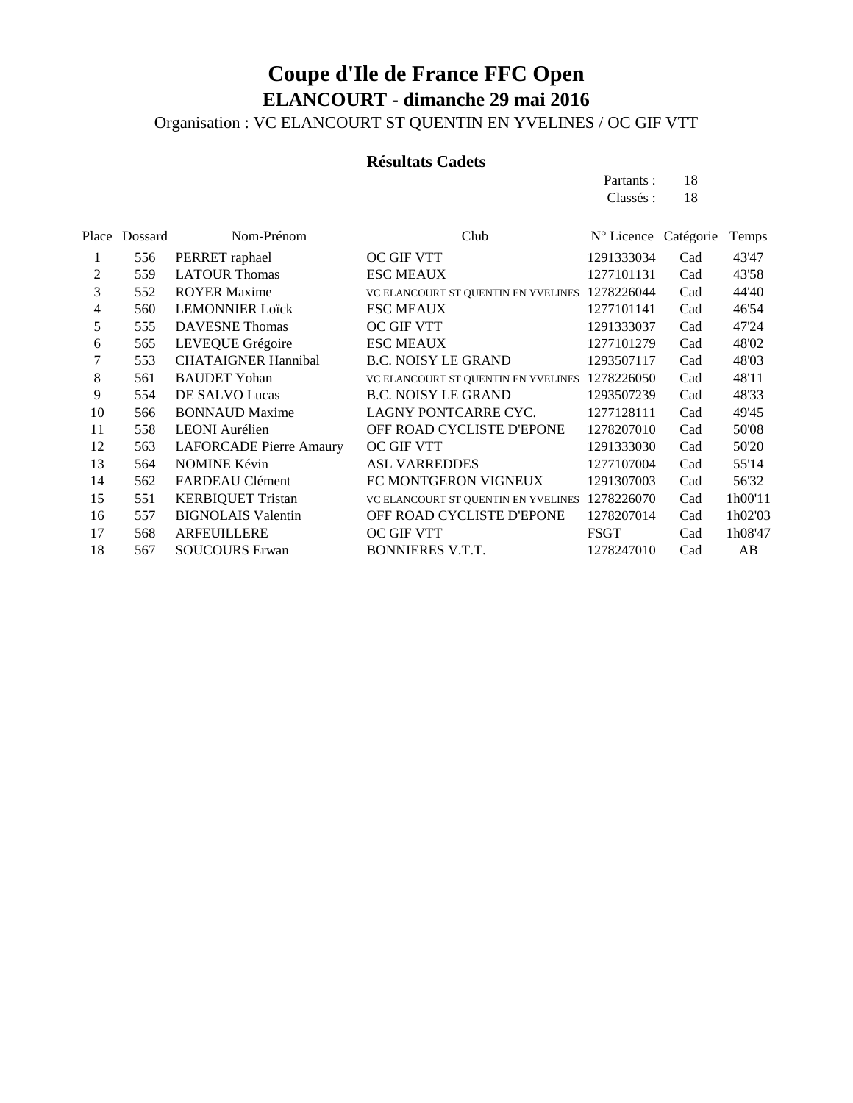Organisation : VC ELANCOURT ST QUENTIN EN YVELINES / OC GIF VTT

#### **Résultats Cadets**

Partants : 18 Classés : 18

| Place | Dossard | Nom-Prénom                     | Club                                | $N^{\circ}$ Licence | Catégorie | Temps   |
|-------|---------|--------------------------------|-------------------------------------|---------------------|-----------|---------|
| 1     | 556     | PERRET raphael                 | OC GIF VTT                          | 1291333034          | Cad       | 43'47   |
| 2     | 559     | <b>LATOUR Thomas</b>           | <b>ESC MEAUX</b>                    | 1277101131          | Cad       | 43'58   |
| 3     | 552     | <b>ROYER Maxime</b>            | VC ELANCOURT ST QUENTIN EN YVELINES | 1278226044          | Cad       | 44'40   |
| 4     | 560     | <b>LEMONNIER Loïck</b>         | <b>ESC MEAUX</b>                    | 1277101141          | Cad       | 46'54   |
| 5     | 555     | <b>DAVESNE</b> Thomas          | OC GIF VTT                          | 1291333037          | Cad       | 47'24   |
| 6     | 565     | LEVEQUE Grégoire               | <b>ESC MEAUX</b>                    | 1277101279          | Cad       | 48'02   |
| 7     | 553     | <b>CHATAIGNER Hannibal</b>     | <b>B.C. NOISY LE GRAND</b>          | 1293507117          | Cad       | 48'03   |
| 8     | 561     | <b>BAUDET Yohan</b>            | VC ELANCOURT ST QUENTIN EN YVELINES | 1278226050          | Cad       | 48'11   |
| 9     | 554     | DE SALVO Lucas                 | <b>B.C. NOISY LE GRAND</b>          | 1293507239          | Cad       | 48'33   |
| 10    | 566     | <b>BONNAUD Maxime</b>          | LAGNY PONTCARRE CYC.                | 1277128111          | Cad       | 49'45   |
| 11    | 558     | <b>LEONI</b> Aurélien          | OFF ROAD CYCLISTE D'EPONE           | 1278207010          | Cad       | 50'08   |
| 12    | 563     | <b>LAFORCADE</b> Pierre Amaury | OC GIF VTT                          | 1291333030          | Cad       | 50'20   |
| 13    | 564     | <b>NOMINE Kévin</b>            | <b>ASL VARREDDES</b>                | 1277107004          | Cad       | 55'14   |
| 14    | 562     | FARDEAU Clément                | EC MONTGERON VIGNEUX                | 1291307003          | Cad       | 56'32   |
| 15    | 551     | <b>KERBIQUET Tristan</b>       | VC ELANCOURT ST QUENTIN EN YVELINES | 1278226070          | Cad       | 1h00'11 |
| 16    | 557     | <b>BIGNOLAIS Valentin</b>      | OFF ROAD CYCLISTE D'EPONE           | 1278207014          | Cad       | 1h02'03 |
| 17    | 568     | <b>ARFEUILLERE</b>             | OC GIF VTT                          | FSGT                | Cad       | 1h08'47 |
| 18    | 567     | <b>SOUCOURS Erwan</b>          | <b>BONNIERES V.T.T.</b>             | 1278247010          | Cad       | AB      |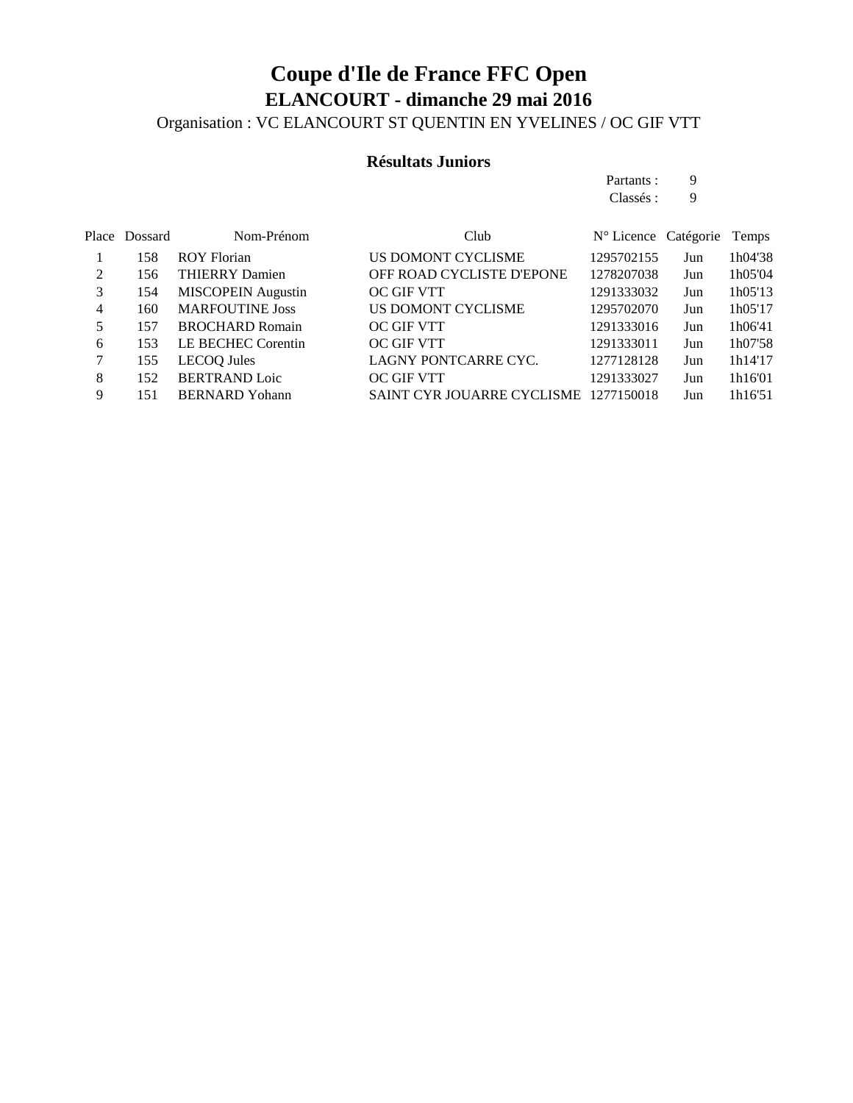### **Coupe d'Ile de France FFC Open ELANCOURT - dimanche 29 mai 2016** Organisation : VC ELANCOURT ST QUENTIN EN YVELINES / OC GIF VTT

#### **Résultats Juniors**

Partants : 9 Classés : 9

|     | Nom-Prénom                | Club                       |            |     | Temps                |
|-----|---------------------------|----------------------------|------------|-----|----------------------|
| 158 | <b>ROY Florian</b>        | US DOMONT CYCLISME         | 1295702155 | Jun | 1h04'38              |
| 156 | <b>THIERRY Damien</b>     | OFF ROAD CYCLISTE D'EPONE  | 1278207038 | Jun | 1h05'04              |
| 154 | <b>MISCOPEIN</b> Augustin | <b>OC GIF VTT</b>          | 1291333032 | Jun | 1h05'13              |
| 160 | <b>MARFOUTINE Joss</b>    | US DOMONT CYCLISME         | 1295702070 | Jun | 1h05'17              |
| 157 | <b>BROCHARD Romain</b>    | OC GIF VTT                 | 1291333016 | Jun | 1h06'41              |
| 153 | LE BECHEC Corentin        | OC GIF VTT                 | 1291333011 | Jun | 1h07'58              |
| 155 | LECOO Jules               | LAGNY PONTCARRE CYC.       | 1277128128 | Jun | 1h14'17              |
| 152 | <b>BERTRAND Loic</b>      | <b>OC GIF VTT</b>          | 1291333027 | Jun | 1h16'01              |
| 151 | <b>BERNARD</b> Yohann     | SAINT CYR JOUARRE CYCLISME | 1277150018 | Jun | 1h16'51              |
|     |                           | Place Dossard              |            |     | N° Licence Catégorie |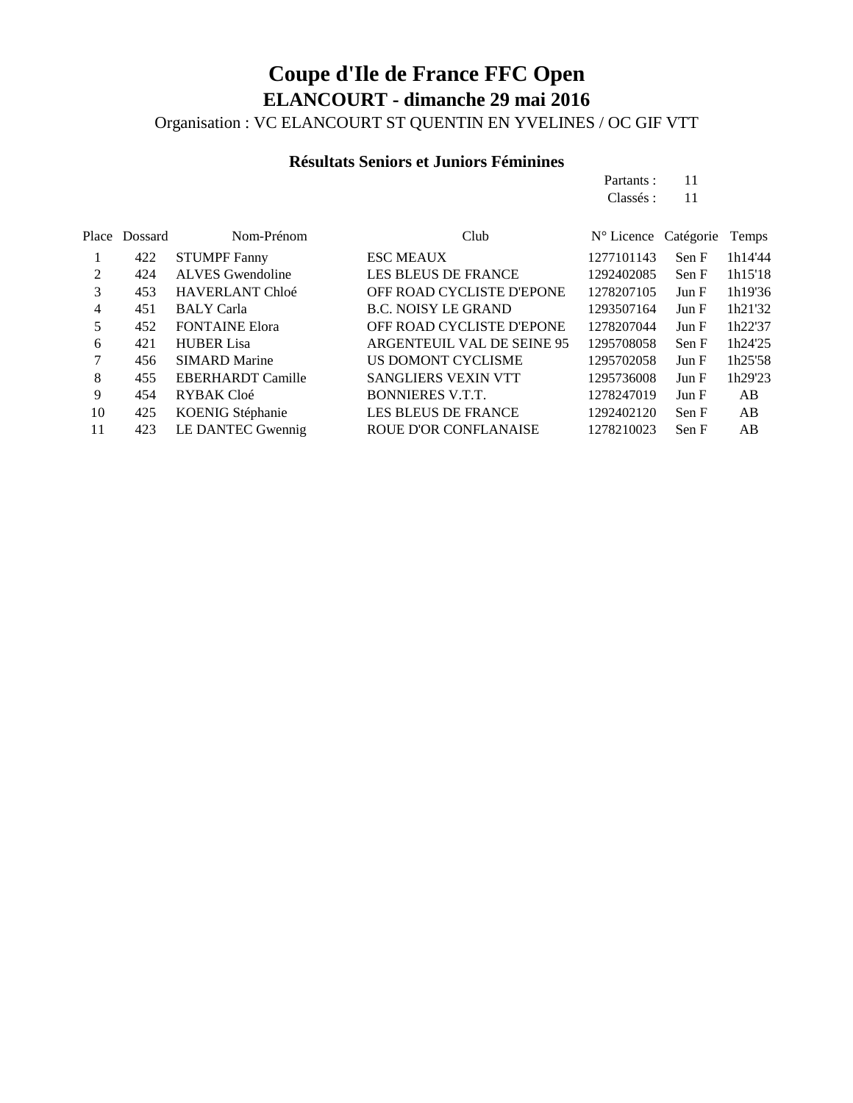Organisation : VC ELANCOURT ST QUENTIN EN YVELINES / OC GIF VTT

### **Résultats Seniors et Juniors Féminines**

| Partants: | 11 |
|-----------|----|
| Classés : | 11 |

| <b>ESC MEAUX</b><br><b>STUMPF Fanny</b><br>422<br>1277101143<br>Sen F<br><b>ALVES</b> Gwendoline<br><b>LES BLEUS DE FRANCE</b><br>2<br>1292402085<br>424<br>Sen F<br><b>HAVERLANT Chloé</b><br>OFF ROAD CYCLISTE D'EPONE<br>1278207105<br>3<br>453<br>Jun F<br><b>B.C. NOISY LE GRAND</b><br>1293507164<br><b>BALY</b> Carla<br>4<br>451<br>Jun F | N° Licence Catégorie<br>Temps |
|---------------------------------------------------------------------------------------------------------------------------------------------------------------------------------------------------------------------------------------------------------------------------------------------------------------------------------------------------|-------------------------------|
|                                                                                                                                                                                                                                                                                                                                                   | 1h14'44                       |
|                                                                                                                                                                                                                                                                                                                                                   | 1h15'18                       |
|                                                                                                                                                                                                                                                                                                                                                   | 1h19'36                       |
|                                                                                                                                                                                                                                                                                                                                                   | 1h21'32                       |
| <b>FONTAINE Elora</b><br>OFF ROAD CYCLISTE D'EPONE<br>1278207044<br>452<br>5<br>Jun F                                                                                                                                                                                                                                                             | 1h22'37                       |
| <b>HUBER Lisa</b><br>ARGENTEUIL VAL DE SEINE 95<br>1295708058<br>421<br>Sen F<br>6                                                                                                                                                                                                                                                                | 1h24'25                       |
| <b>SIMARD Marine</b><br>US DOMONT CYCLISME<br>1295702058<br>Jun F<br>456                                                                                                                                                                                                                                                                          | 1h25'58                       |
| <b>EBERHARDT Camille</b><br><b>SANGLIERS VEXIN VTT</b><br>1295736008<br>8<br>455<br>Jun F                                                                                                                                                                                                                                                         | 1h29'23                       |
| 9<br><b>BONNIERES V.T.T.</b><br>RYBAK Cloé<br>1278247019<br>Jun F<br>454                                                                                                                                                                                                                                                                          | AB                            |
| KOENIG Stéphanie<br><b>LES BLEUS DE FRANCE</b><br>10<br>1292402120<br>Sen F<br>425                                                                                                                                                                                                                                                                | AB                            |
| LE DANTEC Gwennig<br><b>ROUE D'OR CONFLANAISE</b><br>1278210023<br>11<br>Sen F<br>423                                                                                                                                                                                                                                                             | AB                            |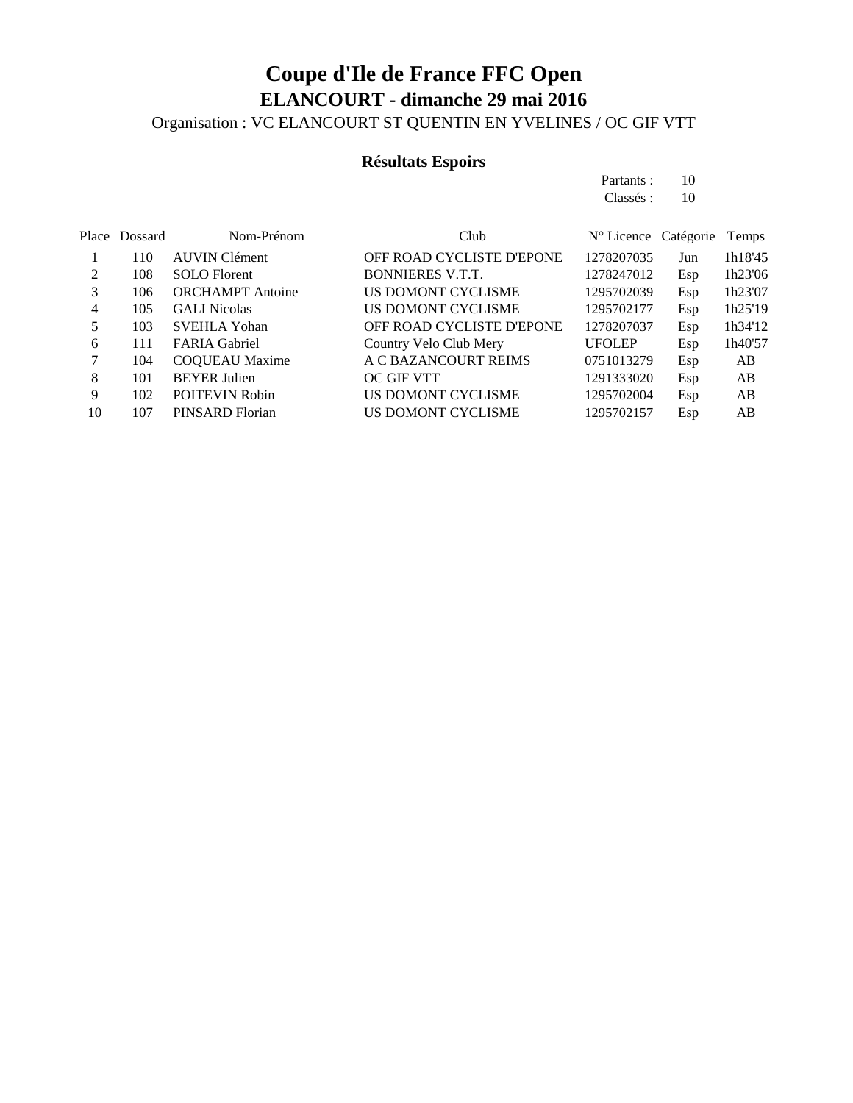Organisation : VC ELANCOURT ST QUENTIN EN YVELINES / OC GIF VTT

### **Résultats Espoirs**

| Partants: | 10 |
|-----------|----|
| Classés : | 10 |

|    | Place Dossard | Nom-Prénom              | Club                      | N° Licence Catégorie |     | Temps   |
|----|---------------|-------------------------|---------------------------|----------------------|-----|---------|
|    | 110           | <b>AUVIN Clément</b>    | OFF ROAD CYCLISTE D'EPONE | 1278207035           | Jun | 1h18'45 |
| 2  | 108           | <b>SOLO</b> Florent     | <b>BONNIERES V.T.T.</b>   | 1278247012           | Esp | 1h23'06 |
|    | 106           | <b>ORCHAMPT</b> Antoine | US DOMONT CYCLISME        | 1295702039           | Esp | 1h23'07 |
| 4  | 105           | <b>GALI</b> Nicolas     | US DOMONT CYCLISME        | 1295702177           | Esp | 1h25'19 |
| 5  | 103           | <b>SVEHLA Yohan</b>     | OFF ROAD CYCLISTE D'EPONE | 1278207037           | Esp | 1h34'12 |
| 6  | 111           | <b>FARIA Gabriel</b>    | Country Velo Club Mery    | <b>UFOLEP</b>        | Esp | 1h40'57 |
|    | 104           | <b>COQUEAU</b> Maxime   | A C BAZANCOURT REIMS      | 0751013279           | Esp | AB      |
| 8  | 101           | <b>BEYER Julien</b>     | OC GIF VTT                | 1291333020           | Esp | AB      |
| 9  | 102           | <b>POITEVIN Robin</b>   | US DOMONT CYCLISME        | 1295702004           | Esp | AB      |
| 10 | 107           | PINSARD Florian         | US DOMONT CYCLISME        | 1295702157           | Esp | AB      |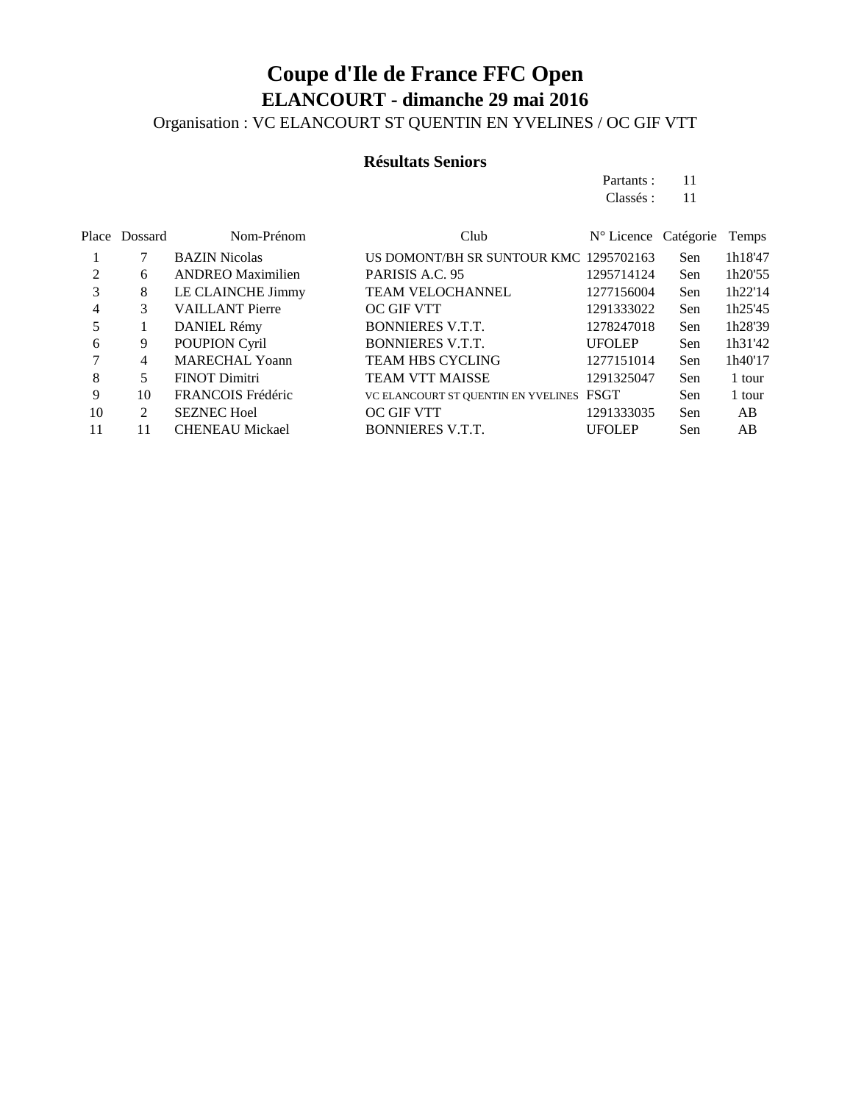Organisation : VC ELANCOURT ST QUENTIN EN YVELINES / OC GIF VTT

#### **Résultats Seniors**

Partants : 11 Classés : 11

|    | Place Dossard | Nom-Prénom               | Club                                     | $N^{\circ}$ Licence Catégorie |            | Temps   |
|----|---------------|--------------------------|------------------------------------------|-------------------------------|------------|---------|
|    |               | <b>BAZIN</b> Nicolas     | US DOMONT/BH SR SUNTOUR KMC 1295702163   |                               | Sen        | 1h18'47 |
| 2  | 6             | <b>ANDREO</b> Maximilien | PARISIS A.C. 95                          | 1295714124                    | Sen        | 1h20'55 |
| 3  | 8             | LE CLAINCHE Jimmy        | TEAM VELOCHANNEL                         | 1277156004                    | Sen        | 1h22'14 |
| 4  | 3             | <b>VAILLANT Pierre</b>   | <b>OC GIF VTT</b>                        | 1291333022                    | Sen        | 1h25'45 |
| 5  |               | DANIEL Rémy              | <b>BONNIERES V.T.T.</b>                  | 1278247018                    | Sen        | 1h28'39 |
| 6  | 9             | POUPION Cyril            | <b>BONNIERES V.T.T.</b>                  | <b>UFOLEP</b>                 | <b>Sen</b> | 1h31'42 |
|    | 4             | <b>MARECHAL Yoann</b>    | <b>TEAM HBS CYCLING</b>                  | 1277151014                    | Sen        | 1h40'17 |
| 8  | 5             | <b>FINOT Dimitri</b>     | <b>TEAM VTT MAISSE</b>                   | 1291325047                    | Sen        | 1 tour  |
| 9  | 10            | FRANCOIS Frédéric        | VC ELANCOURT ST QUENTIN EN YVELINES FSGT |                               | Sen        | 1 tour  |
| 10 | 2             | <b>SEZNEC Hoel</b>       | OC GIF VTT                               | 1291333035                    | Sen        | AB      |
| 11 | 11            | <b>CHENEAU Mickael</b>   | <b>BONNIERES V.T.T.</b>                  | <b>UFOLEP</b>                 | Sen        | AB      |
|    |               |                          |                                          |                               |            |         |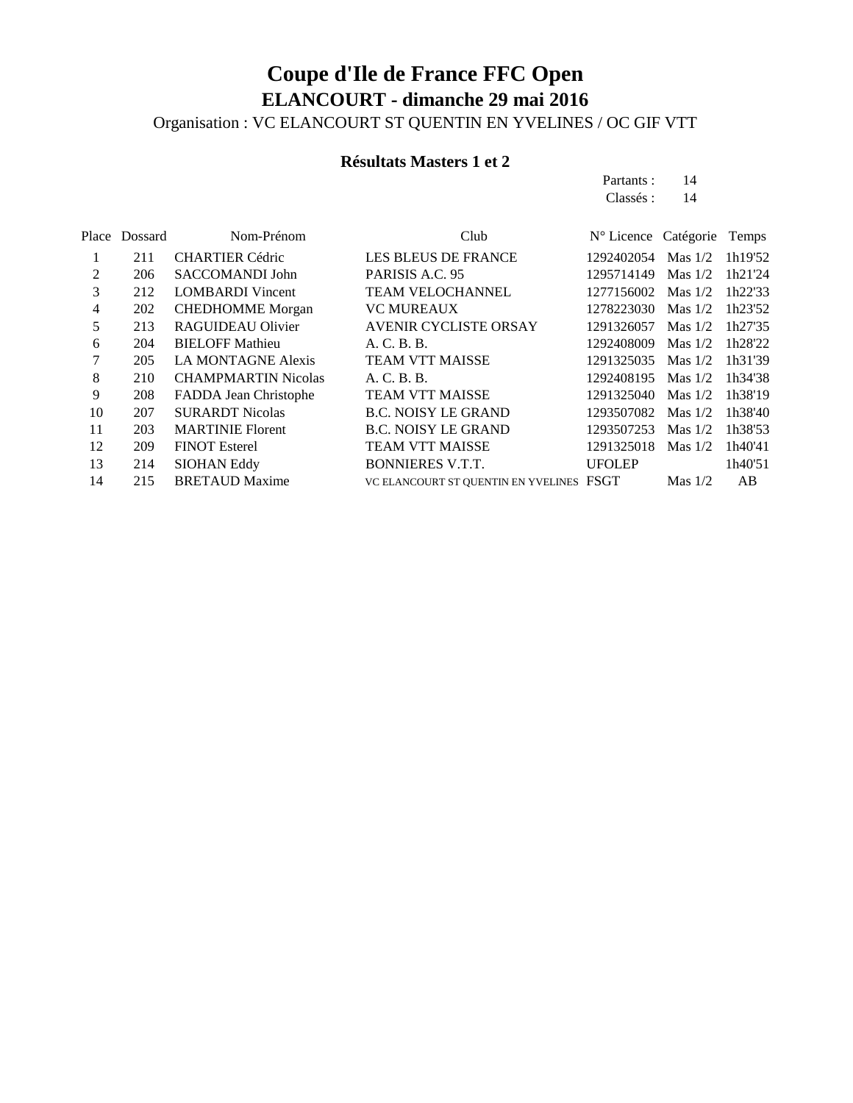Organisation : VC ELANCOURT ST QUENTIN EN YVELINES / OC GIF VTT

### **Résultats Masters 1 et 2**

| Partants : | 14 |
|------------|----|
| Classés :  | 14 |

| Dossard | Nom-Prénom                 | Club                         |               |                                          | Temps                |
|---------|----------------------------|------------------------------|---------------|------------------------------------------|----------------------|
| 211     | <b>CHARTIER Cédric</b>     | <b>LES BLEUS DE FRANCE</b>   | 1292402054    | Mas $1/2$                                | 1h19'52              |
| 206     | <b>SACCOMANDI John</b>     | PARISIS A.C. 95              | 1295714149    | Mas $1/2$                                | 1h21'24              |
| 212     | <b>LOMBARDI</b> Vincent    | <b>TEAM VELOCHANNEL</b>      | 1277156002    | Mas $1/2$                                | 1h22'33              |
| 202     | <b>CHEDHOMME</b> Morgan    | <b>VC MUREAUX</b>            | 1278223030    | Mas $1/2$                                | 1h23'52              |
| 213     | RAGUIDEAU Olivier          | <b>AVENIR CYCLISTE ORSAY</b> | 1291326057    | Mas $1/2$                                | 1h27'35              |
| 204     | <b>BIELOFF Mathieu</b>     | A. C. B. B.                  | 1292408009    | Mas $1/2$                                | 1h28'22              |
| 205     | <b>LA MONTAGNE Alexis</b>  | <b>TEAM VTT MAISSE</b>       | 1291325035    | Mas $1/2$                                | 1h31'39              |
| 210     | <b>CHAMPMARTIN Nicolas</b> | A. C. B. B.                  | 1292408195    | Mas $1/2$                                | 1h34'38              |
| 208     | FADDA Jean Christophe      | <b>TEAM VTT MAISSE</b>       | 1291325040    | Mas $1/2$                                | 1h38'19              |
| 207     | <b>SURARDT Nicolas</b>     | <b>B.C. NOISY LE GRAND</b>   | 1293507082    | Mas $1/2$                                | 1h38'40              |
| 203     | <b>MARTINIE Florent</b>    | <b>B.C. NOISY LE GRAND</b>   | 1293507253    | Mas $1/2$                                | 1h38'53              |
| 209     | <b>FINOT Esterel</b>       | <b>TEAM VTT MAISSE</b>       | 1291325018    | Mas $1/2$                                | 1h40'41              |
| 214     | <b>SIOHAN Eddy</b>         | <b>BONNIERES V.T.T.</b>      | <b>UFOLEP</b> |                                          | 1h40'51              |
| 215     | <b>BRETAUD Maxime</b>      |                              |               | Mas $1/2$                                | AB                   |
|         | Place                      |                              |               | VC ELANCOURT ST QUENTIN EN YVELINES FSGT | N° Licence Catégorie |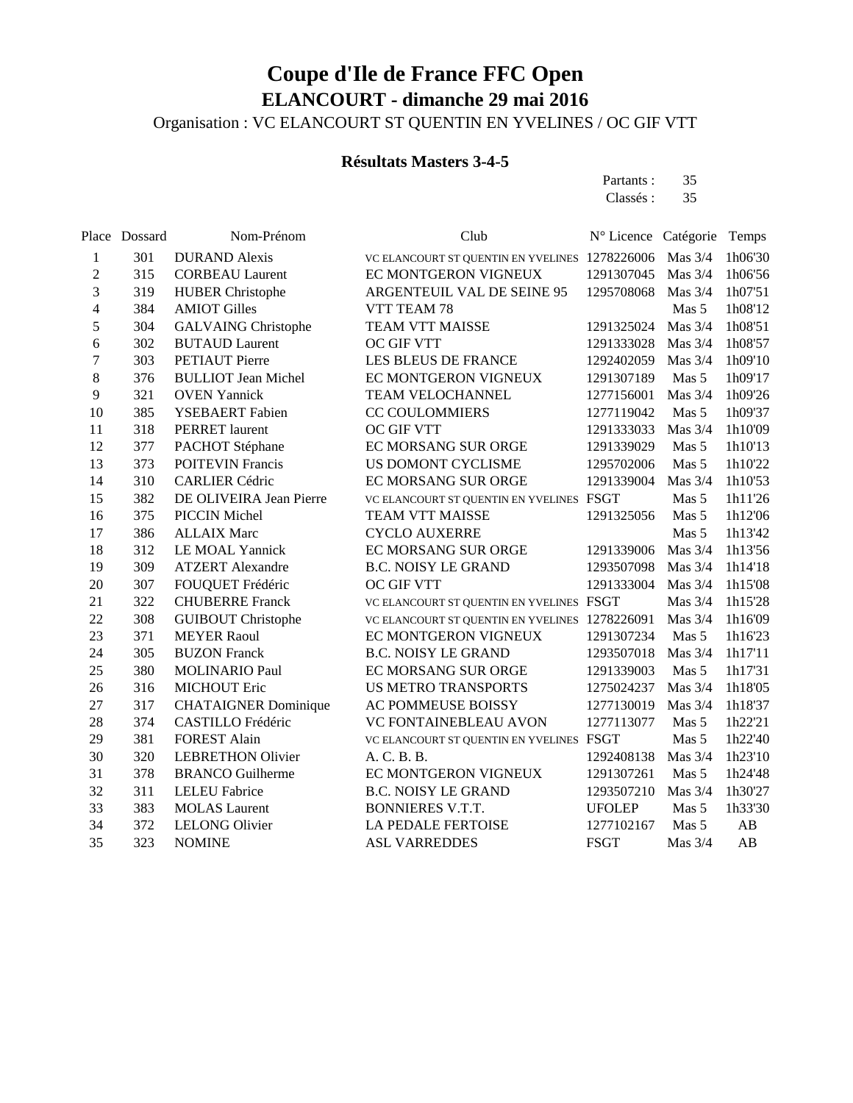Organisation : VC ELANCOURT ST QUENTIN EN YVELINES / OC GIF VTT

#### **Résultats Masters 3-4-5**

Partants : 35 Classés : 35

|                | Place Dossard | Nom-Prénom                  | Club                                           | N° Licence Catégorie |           | Temps   |
|----------------|---------------|-----------------------------|------------------------------------------------|----------------------|-----------|---------|
| 1              | 301           | <b>DURAND</b> Alexis        | VC ELANCOURT ST QUENTIN EN YVELINES            | 1278226006           | Mas $3/4$ | 1h06'30 |
| $\overline{c}$ | 315           | <b>CORBEAU Laurent</b>      | EC MONTGERON VIGNEUX                           | 1291307045           | Mas 3/4   | 1h06'56 |
| 3              | 319           | <b>HUBER Christophe</b>     | ARGENTEUIL VAL DE SEINE 95                     | 1295708068           | Mas 3/4   | 1h07'51 |
| 4              | 384           | <b>AMIOT Gilles</b>         | VTT TEAM 78                                    |                      | Mas 5     | 1h08'12 |
| 5              | 304           | <b>GALVAING Christophe</b>  | <b>TEAM VTT MAISSE</b>                         | 1291325024           | Mas 3/4   | 1h08'51 |
| 6              | 302           | <b>BUTAUD</b> Laurent       | OC GIF VTT                                     | 1291333028           | Mas 3/4   | 1h08'57 |
| $\overline{7}$ | 303           | <b>PETIAUT</b> Pierre       | LES BLEUS DE FRANCE                            | 1292402059           | Mas $3/4$ | 1h09'10 |
| 8              | 376           | <b>BULLIOT Jean Michel</b>  | EC MONTGERON VIGNEUX                           | 1291307189           | Mas 5     | 1h09'17 |
| 9              | 321           | <b>OVEN</b> Yannick         | TEAM VELOCHANNEL                               | 1277156001           | Mas 3/4   | 1h09'26 |
| 10             | 385           | YSEBAERT Fabien             | <b>CC COULOMMIERS</b>                          | 1277119042           | Mas 5     | 1h09'37 |
| 11             | 318           | <b>PERRET</b> laurent       | OC GIF VTT                                     | 1291333033           | Mas $3/4$ | 1h10'09 |
| 12             | 377           | PACHOT Stéphane             | EC MORSANG SUR ORGE                            | 1291339029           | Mas 5     | 1h10'13 |
| 13             | 373           | <b>POITEVIN Francis</b>     | US DOMONT CYCLISME                             | 1295702006           | Mas 5     | 1h10'22 |
| 14             | 310           | <b>CARLIER Cédric</b>       | EC MORSANG SUR ORGE                            | 1291339004           | Mas 3/4   | 1h10'53 |
| 15             | 382           | DE OLIVEIRA Jean Pierre     | VC ELANCOURT ST QUENTIN EN YVELINES            | <b>FSGT</b>          | Mas 5     | 1h11'26 |
| 16             | 375           | <b>PICCIN Michel</b>        | <b>TEAM VTT MAISSE</b>                         | 1291325056           | Mas 5     | 1h12'06 |
| 17             | 386           | <b>ALLAIX Marc</b>          | <b>CYCLO AUXERRE</b>                           |                      | Mas 5     | 1h13'42 |
| 18             | 312           | LE MOAL Yannick             | EC MORSANG SUR ORGE                            | 1291339006           | Mas 3/4   | 1h13'56 |
| 19             | 309           | <b>ATZERT</b> Alexandre     | <b>B.C. NOISY LE GRAND</b>                     | 1293507098           | Mas 3/4   | 1h14'18 |
| 20             | 307           | FOUQUET Frédéric            | <b>OC GIF VTT</b>                              | 1291333004           | Mas $3/4$ | 1h15'08 |
| 21             | 322           | <b>CHUBERRE Franck</b>      | VC ELANCOURT ST QUENTIN EN YVELINES FSGT       |                      | Mas 3/4   | 1h15'28 |
| 22             | 308           | <b>GUIBOUT Christophe</b>   | VC ELANCOURT ST QUENTIN EN YVELINES 1278226091 |                      | Mas 3/4   | 1h16'09 |
| 23             | 371           | <b>MEYER Raoul</b>          | EC MONTGERON VIGNEUX                           | 1291307234           | Mas 5     | 1h16'23 |
| 24             | 305           | <b>BUZON Franck</b>         | <b>B.C. NOISY LE GRAND</b>                     | 1293507018           | Mas 3/4   | 1h17'11 |
| 25             | 380           | <b>MOLINARIO Paul</b>       | <b>EC MORSANG SUR ORGE</b>                     | 1291339003           | Mas 5     | 1h17'31 |
| 26             | 316           | <b>MICHOUT Eric</b>         | <b>US METRO TRANSPORTS</b>                     | 1275024237           | Mas 3/4   | 1h18'05 |
| 27             | 317           | <b>CHATAIGNER Dominique</b> | AC POMMEUSE BOISSY                             | 1277130019           | Mas 3/4   | 1h18'37 |
| 28             | 374           | CASTILLO Frédéric           | VC FONTAINEBLEAU AVON                          | 1277113077           | Mas 5     | 1h22'21 |
| 29             | 381           | <b>FOREST Alain</b>         | VC ELANCOURT ST QUENTIN EN YVELINES            | <b>FSGT</b>          | Mas 5     | 1h22'40 |
| 30             | 320           | <b>LEBRETHON Olivier</b>    | A. C. B. B.                                    | 1292408138           | Mas $3/4$ | 1h23'10 |
| 31             | 378           | <b>BRANCO Guilherme</b>     | EC MONTGERON VIGNEUX                           | 1291307261           | Mas 5     | 1h24'48 |
| 32             | 311           | <b>LELEU Fabrice</b>        | <b>B.C. NOISY LE GRAND</b>                     | 1293507210           | Mas 3/4   | 1h30'27 |
| 33             | 383           | <b>MOLAS</b> Laurent        | <b>BONNIERES V.T.T.</b>                        | <b>UFOLEP</b>        | Mas 5     | 1h33'30 |
| 34             | 372           | <b>LELONG Olivier</b>       | <b>LA PEDALE FERTOISE</b>                      | 1277102167           | Mas 5     | AB      |
| 35             | 323           | <b>NOMINE</b>               | <b>ASL VARREDDES</b>                           | <b>FSGT</b>          | Mas 3/4   | AB      |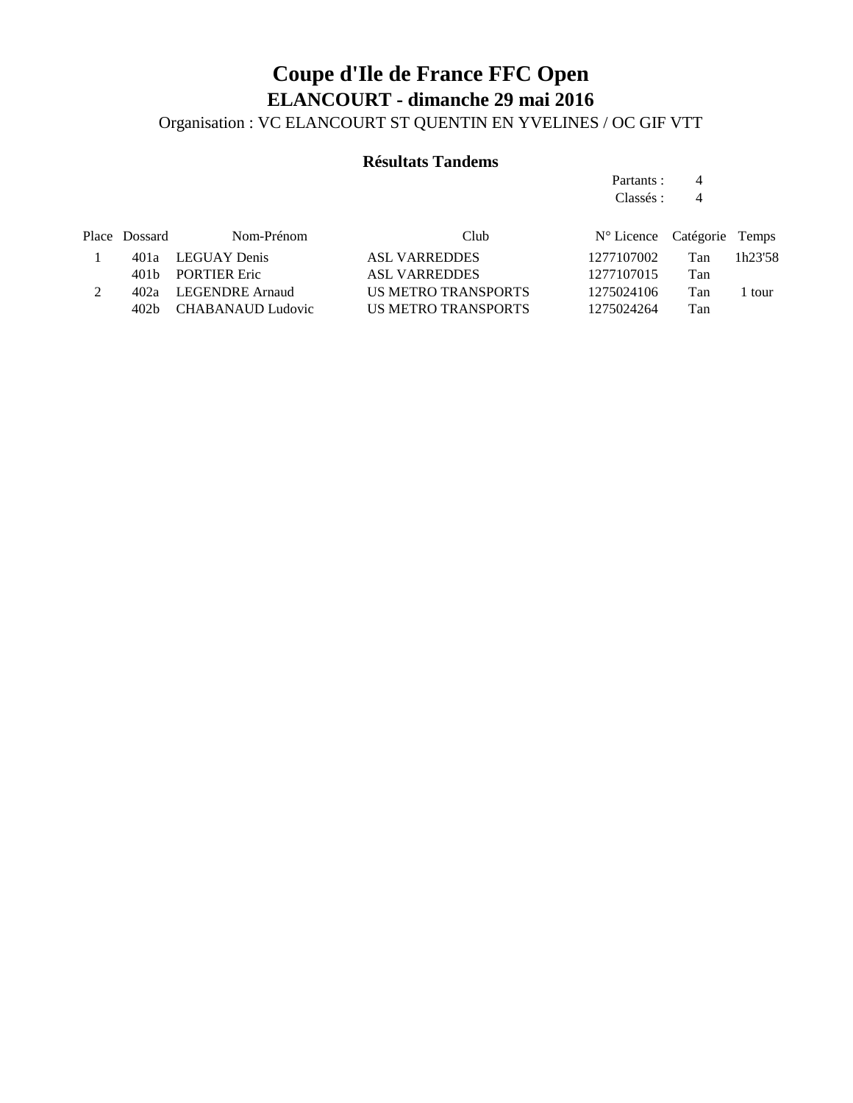### **Coupe d'Ile de France FFC Open ELANCOURT - dimanche 29 mai 2016** Organisation : VC ELANCOURT ST QUENTIN EN YVELINES / OC GIF VTT

#### **Résultats Tandems**

Partants : 4 Classés : 4

| N° Licence Catégorie Temps |
|----------------------------|
| Tan<br>1h23'58             |
| Tan                        |
| Tan<br>tour                |
| Tan                        |
|                            |